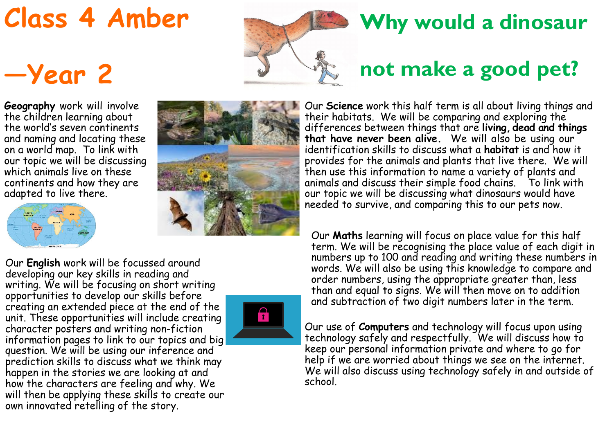## **Class 4 Amber**

## **—Year 2**

**Geography** work will involve the children learning about the world's seven continents and naming and locating these on a world map. To link with our topic we will be discussing which animals live on these continents and how they are adapted to live there.





Our **English** work will be focussed around developing our key skills in reading and writing. We will be focusing on short writing opportunities to develop our skills before creating an extended piece at the end of the unit. These opportunities will include creating character posters and writing non-fiction information pages to link to our topics and big question. We will be using our inference and prediction skills to discuss what we think may happen in the stories we are looking at and how the characters are feeling and why. We will then be applying these skills to create our own innovated retelling of the story.



## **Why would a dinosaur**

## **not make a good pet?**

Our **Science** work this half term is all about living things and their habitats. We will be comparing and exploring the differences between things that are **living, dead and things that have never been alive.** We will also be using our identification skills to discuss what a **habitat** is and how it provides for the animals and plants that live there. We will then use this information to name a variety of plants and animals and discuss their simple food chains. To link with our topic we will be discussing what dinosaurs would have needed to survive, and comparing this to our pets now.

Our **Maths** learning will focus on place value for this half term. We will be recognising the place value of each digit in numbers up to 100 and reading and writing these numbers in words. We will also be using this knowledge to compare and order numbers, using the appropriate greater than, less than and equal to signs. We will then move on to addition and subtraction of two digit numbers later in the term.

Our use of **Computers** and technology will focus upon using technology safely and respectfully. We will discuss how to keep our personal information private and where to go for help if we are worried about things we see on the internet. We will also discuss using technology safely in and outside of school.